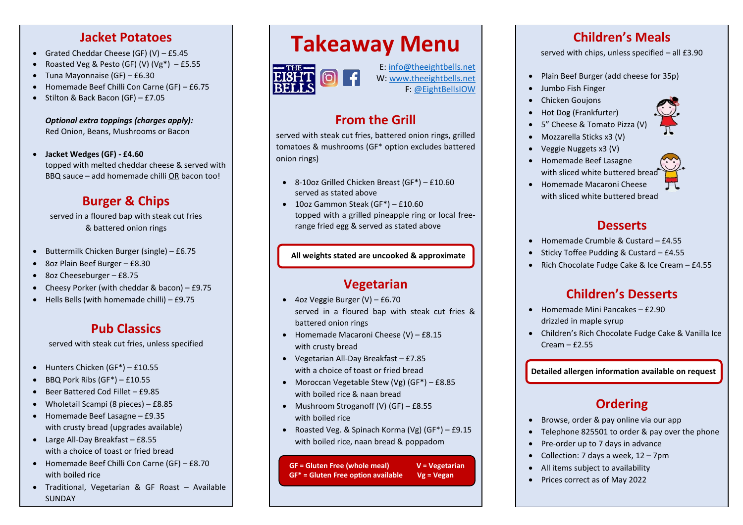#### **Jacket Potatoes**

- Grated Cheddar Cheese (GF)  $(V)$  £5.45
- Roasted Veg & Pesto (GF) (V) (Vg\*)  $-$  £5.55
- Tuna Mayonnaise (GF) £6.30
- Homemade Beef Chilli Con Carne (GF) £6.75
- Stilton & Back Bacon (GF) £7.05

*Optional extra toppings (charges apply):* Red Onion, Beans, Mushrooms or Bacon

• **Jacket Wedges (GF) - £4.60** topped with melted cheddar cheese & served with BBQ sauce – add homemade chilli OR bacon too!

# **Burger & Chips**

served in a floured bap with steak cut fries & battered onion rings

- Buttermilk Chicken Burger (single) £6.75
- 8oz Plain Beef Burger £8.30
- 8oz Cheeseburger £8.75
- Cheesy Porker (with cheddar & bacon) £9.75
- Hells Bells (with homemade chilli) £9.75

### **Pub Classics**

served with steak cut fries, unless specified

- Hunters Chicken (GF\*) £10.55
- $\bullet$  BBQ Pork Ribs (GF<sup>\*</sup>) £10.55
- Beer Battered Cod Fillet £9.85
- Wholetail Scampi (8 pieces) £8.85
- Homemade Beef Lasagne £9.35 with crusty bread (upgrades available)
- Large All-Day Breakfast £8.55 with a choice of toast or fried bread
- Homemade Beef Chilli Con Carne (GF) £8.70 with boiled rice
- Traditional, Vegetarian & GF Roast Available SUNDAY

# **Takeaway Menu**



E: [info@theeightbells.net](mailto:info@theeightbells.net) W: [www.theeightbells.net](http://www.theeightbells.net/)

F: [@EightBellsIOW](https://www.facebook.com/EightBellsIOW/)

# **From the Grill**

served with steak cut fries, battered onion rings, grilled tomatoes & mushrooms (GF\* option excludes battered onion rings)

- 8-10oz Grilled Chicken Breast (GF\*) £10.60 served as stated above
- 10oz Gammon Steak (GF\*) £10.60 topped with a grilled pineapple ring or local freerange fried egg & served as stated above

#### **All weights stated are uncooked & approximate**

### **Vegetarian**

- 4oz Veggie Burger (V) £6.70 served in a floured bap with steak cut fries & battered onion rings
- Homemade Macaroni Cheese (V) £8.15 with crusty bread
- Vegetarian All-Day Breakfast £7.85 with a choice of toast or fried bread
- Moroccan Vegetable Stew (Vg) (GF\*) £8.85 with boiled rice & naan bread
- Mushroom Stroganoff (V) (GF) £8.55 with boiled rice
- Roasted Veg. & Spinach Korma (Vg) (GF\*) £9.15 with boiled rice, naan bread & poppadom

**GF = Gluten Free (whole meal) V = Vegetarian GF\* = Gluten Free option available Vg = Vegan**

#### **Children's Meals**

served with chips, unless specified – all £3.90

- Plain Beef Burger (add cheese for 35p)
- Jumbo Fish Finger
- Chicken Goujons
- Hot Dog (Frankfurter)
- 5" Cheese & Tomato Pizza (V)
- Mozzarella Sticks x3 (V)
- Veggie Nuggets x3 (V)
- Homemade Beef Lasagne with sliced white buttered bread
- Homemade Macaroni Cheese with sliced white buttered bread

#### **Desserts**

- Homemade Crumble & Custard £4.55
- Sticky Toffee Pudding & Custard £4.55
- Rich Chocolate Fudge Cake & Ice Cream £4.55

# **Children's Desserts**

- Homemade Mini Pancakes £2.90 drizzled in maple syrup
- Children's Rich Chocolate Fudge Cake & Vanilla Ice Cream – £2.55

**Detailed allergen information available on request**

# **Ordering**

- Browse, order & pay online via our app
- Telephone 825501 to order & pay over the phone
- Pre-order up to 7 days in advance
- Collection: 7 days a week, 12 7pm
- All items subject to availability
- Prices correct as of May 2022